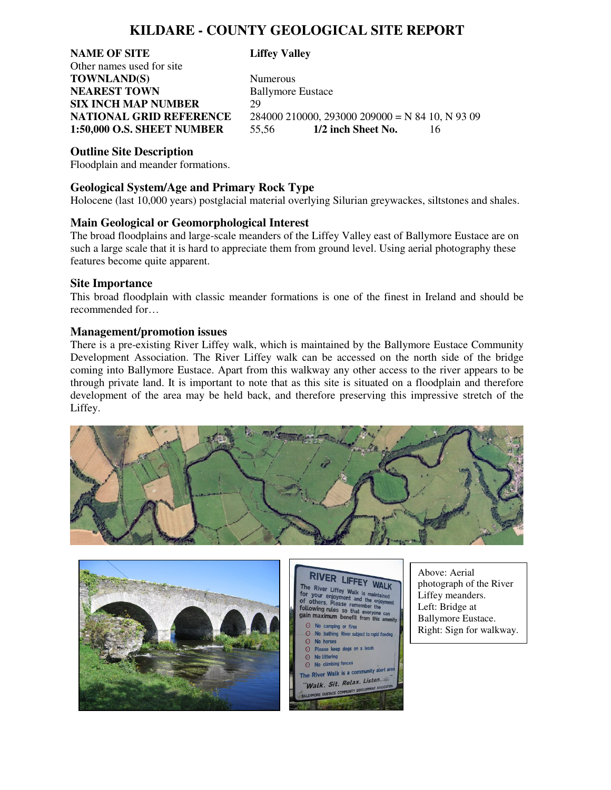# **KILDARE - COUNTY GEOLOGICAL SITE REPORT**

**NAME OF SITE Liffey Valley** Other names used for site **TOWNLAND(S)** Numerous **NEAREST TOWN** Ballymore Eustace **SIX INCH MAP NUMBER** 29

**NATIONAL GRID REFERENCE** 284000 210000, 293000 209000 = N 84 10, N 93 09 **1:50,000 O.S. SHEET NUMBER** 55,56 **1/2 inch Sheet No.** 16

## **Outline Site Description**

Floodplain and meander formations.

## **Geological System/Age and Primary Rock Type**

Holocene (last 10,000 years) postglacial material overlying Silurian greywackes, siltstones and shales.

#### **Main Geological or Geomorphological Interest**

The broad floodplains and large-scale meanders of the Liffey Valley east of Ballymore Eustace are on such a large scale that it is hard to appreciate them from ground level. Using aerial photography these features become quite apparent.

#### **Site Importance**

This broad floodplain with classic meander formations is one of the finest in Ireland and should be recommended for…

#### **Management/promotion issues**

There is a pre-existing River Liffey walk, which is maintained by the Ballymore Eustace Community Development Association. The River Liffey walk can be accessed on the north side of the bridge coming into Ballymore Eustace. Apart from this walkway any other access to the river appears to be through private land. It is important to note that as this site is situated on a floodplain and therefore development of the area may be held back, and therefore preserving this impressive stretch of the Liffey.







Above: Aerial photograph of the River Liffey meanders. Left: Bridge at Ballymore Eustace. Right: Sign for walkway.